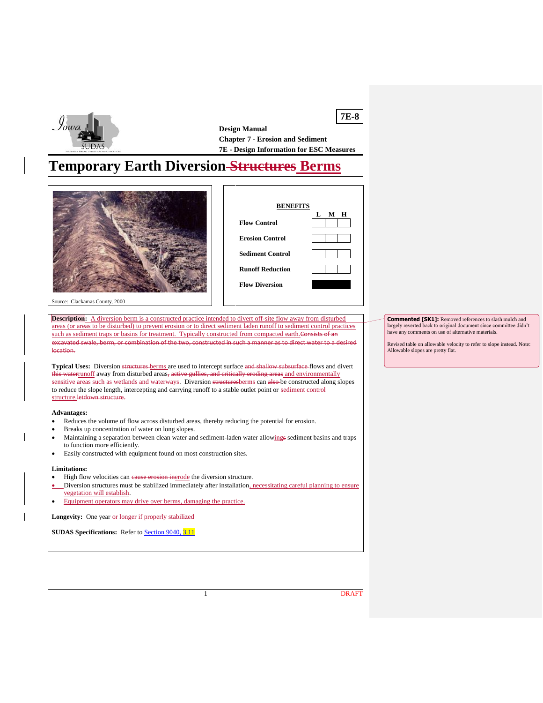

**7E-8 Design Manual Chapter 7 - Erosion and Sediment 7E - Design Information for ESC Measures**

# **Temporary Earth Diversion Structures Berms**





Source: Clackamas County, 2000

**Description:** A diversion berm is a constructed practice intended to divert off-site flow away from disturbed areas (or areas to be disturbed) to prevent erosion or to direct sediment laden runoff to sediment control practices such as sediment traps or basins for treatment. Typically constructed from compacted earth.Consists excavated swale, berm, or combination of the two, constructed in such a manner as to direct water to a desired location.

**Typical Uses:** Diversion structures berms are used to intercept surface and shallow subsurface flows and divert t<del>his water<u>runoff</u> away from disturbed areas, active gullies, and critically eroding areas <u>and environmentally</u></del> sensitive areas such as wetlands and waterways. Diversion structuresberms can also be constructed along slopes to reduce the slope length, intercepting and carrying runoff to a stable outlet point or sediment control structure.letdown structure

**Advantages:**

- Reduces the volume of flow across disturbed areas, thereby reducing the potential for erosion.
- Breaks up concentration of water on long slopes.
- Maintaining a separation between clean water and sediment-laden water allowings sediment basins and traps to function more efficiently.
- Easily constructed with equipment found on most construction sites.

#### **Limitations:**

- High flow velocities can cause erosion inerode the diversion structure.
- Diversion structures must be stabilized immediately after installation, necessitating careful planning to ensure vegetation will establish.
- Equipment operators may drive over berms, damaging the practice.

Longevity: One year or longer if properly stabilized

**SUDAS Specifications:** Refer to **[Section 9040, 3.11](https://intrans.iastate.edu/app/uploads/sites/15/2020/02/9040.pdf#page=19)** 

**Commented [SK1]:** Removed references to slash mulch and largely reverted back to original document since committee didn't have any comments on use of alternative materials.

Revised table on allowable velocity to refer to slope instead. Note: Allowable slopes are pretty flat.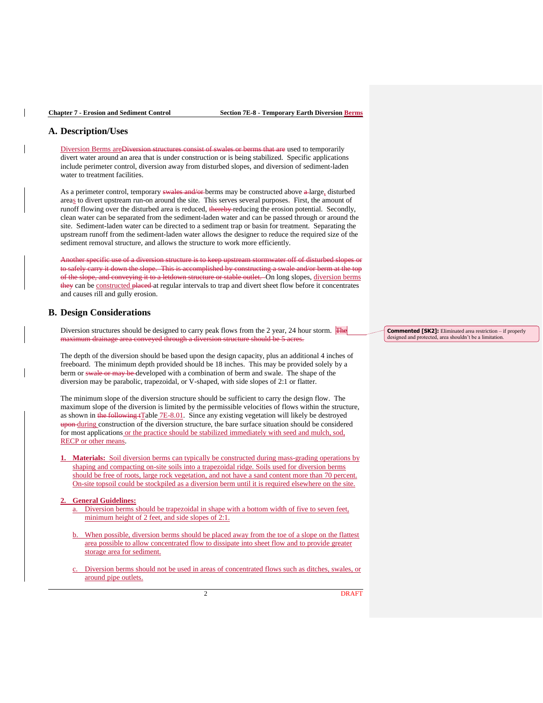## **A. Description/Uses**

Diversion Berms areDiversion structures consist of swales or berms that are used to temporarily divert water around an area that is under construction or is being stabilized. Specific applications include perimeter control, diversion away from disturbed slopes, and diversion of sediment-laden water to treatment facilities.

As a perimeter control, temporary swales and/or berms may be constructed above a large, disturbed areas to divert upstream run-on around the site. This serves several purposes. First, the amount of runoff flowing over the disturbed area is reduced, thereby reducing the erosion potential. Secondly, clean water can be separated from the sediment-laden water and can be passed through or around the site. Sediment-laden water can be directed to a sediment trap or basin for treatment. Separating the upstream runoff from the sediment-laden water allows the designer to reduce the required size of the sediment removal structure, and allows the structure to work more efficiently.

Another specific use of a diversion structure is to keep upstream stormwater off of disturbed slopes or to safely carry it down the slope. This is accomplished by constructing a swale and/or berm at the top of the slope, and conveying it to a letdown structure or stable outlet. On long slopes, diversion berms they can be constructed placed at regular intervals to trap and divert sheet flow before it concentrates and causes rill and gully erosion.

#### **B. Design Considerations**

Diversion structures should be designed to carry peak flows from the 2 year, 24 hour storm. The maximum drainage area conveyed through a diversion structure should be 5 acres.

The depth of the diversion should be based upon the design capacity, plus an additional 4 inches of freeboard. The minimum depth provided should be 18 inches. This may be provided solely by a berm or swale or may be developed with a combination of berm and swale. The shape of the diversion may be parabolic, trapezoidal, or V-shaped, with side slopes of 2:1 or flatter.

The minimum slope of the diversion structure should be sufficient to carry the design flow. The maximum slope of the diversion is limited by the permissible velocities of flows within the structure, as shown in the following tTable 7E-8.01. Since any existing vegetation will likely be destroyed upon during construction of the diversion structure, the bare surface situation should be considered for most applications or the practice should be stabilized immediately with seed and mulch, sod, RECP or other means.

**Materials:** Soil diversion berms can typically be constructed during mass-grading operations by shaping and compacting on-site soils into a trapezoidal ridge. Soils used for diversion berms should be free of roots, large rock vegetation, and not have a sand content more than 70 percent. On-site topsoil could be stockpiled as a diversion berm until it is required elsewhere on the site.

#### **2. General Guidelines:**

- a. Diversion berms should be trapezoidal in shape with a bottom width of five to seven feet, minimum height of 2 feet, and side slopes of 2:1.
- b. When possible, diversion berms should be placed away from the toe of a slope on the flattest area possible to allow concentrated flow to dissipate into sheet flow and to provide greater storage area for sediment.
- Diversion berms should not be used in areas of concentrated flows such as ditches, swales, or around pipe outlets.

**Commented [SK2]:** Eliminated area restriction – if properly designed and protected, area shouldn't be a limitation.